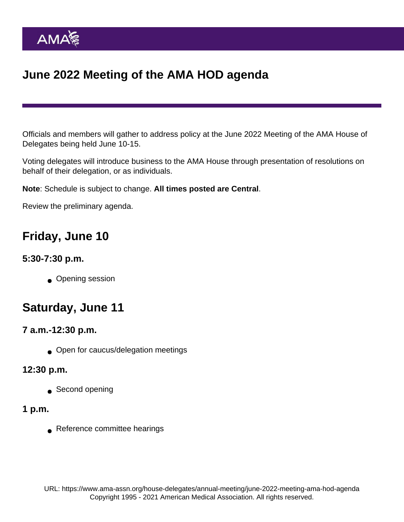# June 2022 Meeting of the AMA HOD agenda

Officials and members will gather to address policy at the June 2022 Meeting of the AMA House of Delegates being held June 10-15.

Voting delegates will introduce business to the AMA House through presentation of resolutions on behalf of their delegation, or as individuals.

Note: Schedule is subject to change. All times posted are Central .

Review the preliminary agenda.

### Friday, June 10

#### 5:30-7:30 p.m.

• Opening session

## Saturday, June 11

7 a.m.-12:30 p.m.

**■** Open for caucus/delegation meetings

12:30 p.m.

Second opening

1 p.m.

Reference committee hearings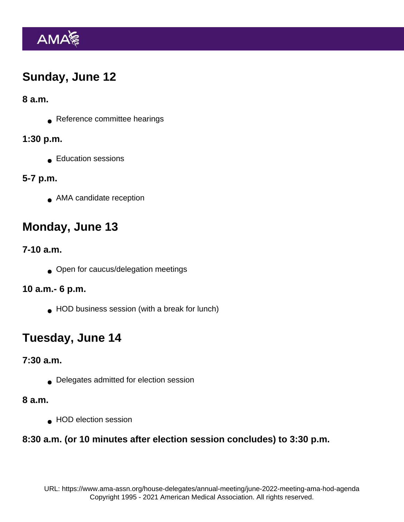## Sunday, June 12

8 a.m.

Reference committee hearings

1:30 p.m.

Education sessions

5-7 p.m.

**■ AMA candidate reception** 

# Monday, June 13

7-10 a.m.

**Open for caucus/delegation meetings** 

10 a.m.- 6 p.m.

● HOD business session (with a break for lunch)

## Tuesday, June 14

7:30 a.m.

Delegates admitted for election session

8 a.m.

**HOD** election session

8:30 a.m. (or 10 minutes after election session concludes) to 3:30 p.m.